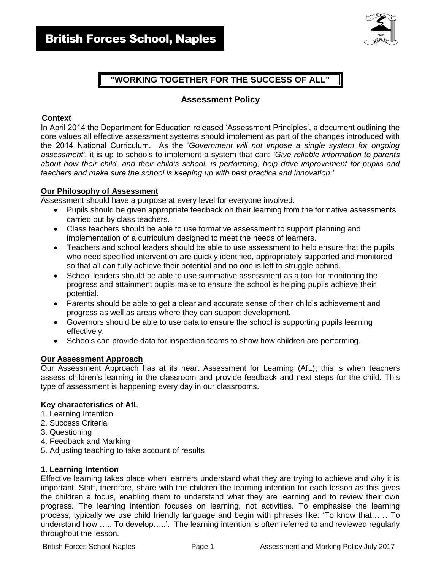

# **"WORKING TOGETHER FOR THE SUCCESS OF ALL"**

### **Assessment Policy**

### **Context**

In April 2014 the Department for Education released 'Assessment Principles', a document outlining the core values all effective assessment systems should implement as part of the changes introduced with the 2014 National Curriculum. As the '*Government will not impose a single system for ongoing assessment'*, it is up to schools to implement a system that can: *'Give reliable information to parents about how their child, and their child's school, is performing, help drive improvement for pupils and teachers and make sure the school is keeping up with best practice and innovation.'*

### **Our Philosophy of Assessment**

Assessment should have a purpose at every level for everyone involved:

- Pupils should be given appropriate feedback on their learning from the formative assessments carried out by class teachers.
- Class teachers should be able to use formative assessment to support planning and implementation of a curriculum designed to meet the needs of learners.
- Teachers and school leaders should be able to use assessment to help ensure that the pupils who need specified intervention are quickly identified, appropriately supported and monitored so that all can fully achieve their potential and no one is left to struggle behind.
- School leaders should be able to use summative assessment as a tool for monitoring the progress and attainment pupils make to ensure the school is helping pupils achieve their potential.
- Parents should be able to get a clear and accurate sense of their child's achievement and progress as well as areas where they can support development.
- Governors should be able to use data to ensure the school is supporting pupils learning effectively.
- Schools can provide data for inspection teams to show how children are performing.

### **Our Assessment Approach**

Our Assessment Approach has at its heart Assessment for Learning (AfL); this is when teachers assess children's learning in the classroom and provide feedback and next steps for the child. This type of assessment is happening every day in our classrooms.

### **Key characteristics of AfL**

- 1. Learning Intention
- 2. Success Criteria
- 3. Questioning
- 4. Feedback and Marking
- 5. Adjusting teaching to take account of results

### **1. Learning Intention**

Effective learning takes place when learners understand what they are trying to achieve and why it is important. Staff, therefore, share with the children the learning intention for each lesson as this gives the children a focus, enabling them to understand what they are learning and to review their own progress. The learning intention focuses on learning, not activities. To emphasise the learning process, typically we use child friendly language and begin with phrases like: 'To know that…… To understand how ….. To develop…..'. The learning intention is often referred to and reviewed regularly throughout the lesson.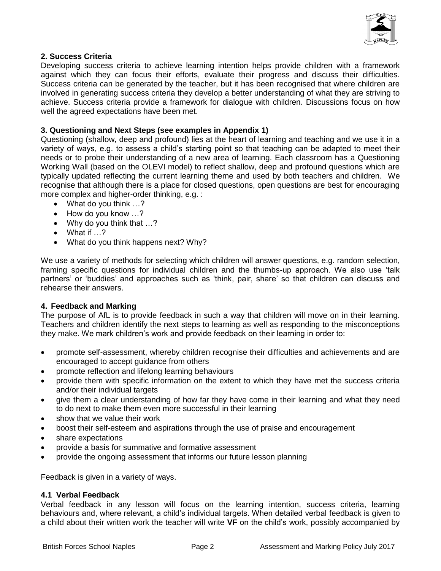

### **2. Success Criteria**

Developing success criteria to achieve learning intention helps provide children with a framework against which they can focus their efforts, evaluate their progress and discuss their difficulties. Success criteria can be generated by the teacher, but it has been recognised that where children are involved in generating success criteria they develop a better understanding of what they are striving to achieve. Success criteria provide a framework for dialogue with children. Discussions focus on how well the agreed expectations have been met.

### **3. Questioning and Next Steps (see examples in Appendix 1)**

Questioning (shallow, deep and profound) lies at the heart of learning and teaching and we use it in a variety of ways, e.g. to assess a child's starting point so that teaching can be adapted to meet their needs or to probe their understanding of a new area of learning. Each classroom has a Questioning Working Wall (based on the OLEVI model) to reflect shallow, deep and profound questions which are typically updated reflecting the current learning theme and used by both teachers and children. We recognise that although there is a place for closed questions, open questions are best for encouraging more complex and higher-order thinking, e.g. :

- What do you think ...?
- How do you know ...?
- Why do you think that ...?
- What if …?
- What do you think happens next? Why?

We use a variety of methods for selecting which children will answer questions, e.g. random selection, framing specific questions for individual children and the thumbs-up approach. We also use 'talk partners' or 'buddies' and approaches such as 'think, pair, share' so that children can discuss and rehearse their answers.

### **4. Feedback and Marking**

The purpose of AfL is to provide feedback in such a way that children will move on in their learning. Teachers and children identify the next steps to learning as well as responding to the misconceptions they make. We mark children's work and provide feedback on their learning in order to:

- promote self-assessment, whereby children recognise their difficulties and achievements and are encouraged to accept guidance from others
- promote reflection and lifelong learning behaviours
- provide them with specific information on the extent to which they have met the success criteria and/or their individual targets
- give them a clear understanding of how far they have come in their learning and what they need to do next to make them even more successful in their learning
- show that we value their work
- boost their self-esteem and aspirations through the use of praise and encouragement
- share expectations
- provide a basis for summative and formative assessment
- provide the ongoing assessment that informs our future lesson planning

Feedback is given in a variety of ways.

### **4.1 Verbal Feedback**

Verbal feedback in any lesson will focus on the learning intention, success criteria, learning behaviours and, where relevant, a child's individual targets. When detailed verbal feedback is given to a child about their written work the teacher will write **VF** on the child's work, possibly accompanied by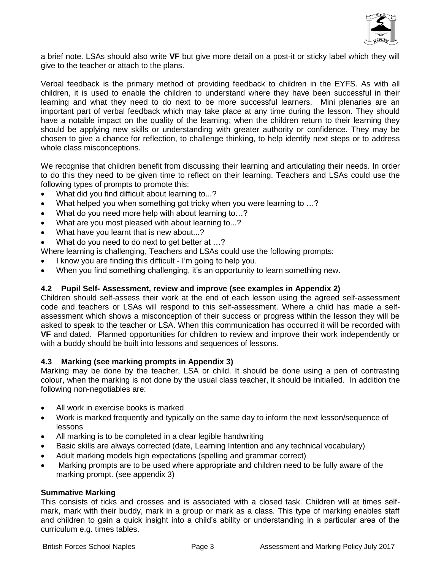

a brief note. LSAs should also write **VF** but give more detail on a post-it or sticky label which they will give to the teacher or attach to the plans.

Verbal feedback is the primary method of providing feedback to children in the EYFS. As with all children, it is used to enable the children to understand where they have been successful in their learning and what they need to do next to be more successful learners. Mini plenaries are an important part of verbal feedback which may take place at any time during the lesson. They should have a notable impact on the quality of the learning; when the children return to their learning they should be applying new skills or understanding with greater authority or confidence. They may be chosen to give a chance for reflection, to challenge thinking, to help identify next steps or to address whole class misconceptions.

We recognise that children benefit from discussing their learning and articulating their needs. In order to do this they need to be given time to reflect on their learning. Teachers and LSAs could use the following types of prompts to promote this:

- What did you find difficult about learning to...?
- What helped you when something got tricky when you were learning to …?
- What do you need more help with about learning to...?
- What are you most pleased with about learning to...?
- What have you learnt that is new about...?
- What do you need to do next to get better at ...?

Where learning is challenging, Teachers and LSAs could use the following prompts:

- I know you are finding this difficult I'm going to help you.
- When you find something challenging, it's an opportunity to learn something new.

### **4.2 Pupil Self- Assessment, review and improve (see examples in Appendix 2)**

Children should self-assess their work at the end of each lesson using the agreed self-assessment code and teachers or LSAs will respond to this self-assessment. Where a child has made a selfassessment which shows a misconception of their success or progress within the lesson they will be asked to speak to the teacher or LSA. When this communication has occurred it will be recorded with **VF** and dated. Planned opportunities for children to review and improve their work independently or with a buddy should be built into lessons and sequences of lessons.

### **4.3 Marking (see marking prompts in Appendix 3)**

Marking may be done by the teacher, LSA or child. It should be done using a pen of contrasting colour, when the marking is not done by the usual class teacher, it should be initialled. In addition the following non-negotiables are:

- All work in exercise books is marked
- Work is marked frequently and typically on the same day to inform the next lesson/sequence of lessons
- All marking is to be completed in a clear legible handwriting
- Basic skills are always corrected (date, Learning Intention and any technical vocabulary)
- Adult marking models high expectations (spelling and grammar correct)
- Marking prompts are to be used where appropriate and children need to be fully aware of the marking prompt. (see appendix 3)

### **Summative Marking**

This consists of ticks and crosses and is associated with a closed task. Children will at times selfmark, mark with their buddy, mark in a group or mark as a class. This type of marking enables staff and children to gain a quick insight into a child's ability or understanding in a particular area of the curriculum e.g. times tables.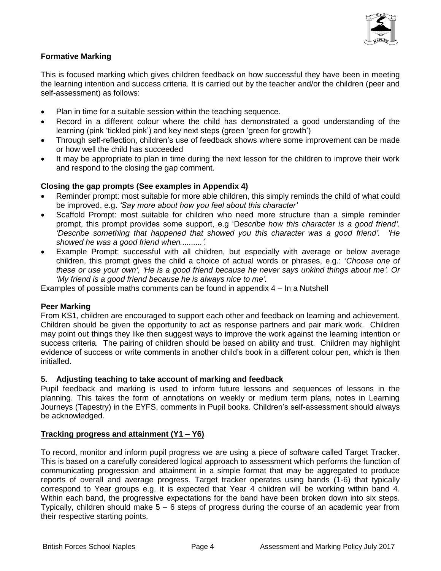

### **Formative Marking**

This is focused marking which gives children feedback on how successful they have been in meeting the learning intention and success criteria. It is carried out by the teacher and/or the children (peer and self-assessment) as follows:

- Plan in time for a suitable session within the teaching sequence.
- Record in a different colour where the child has demonstrated a good understanding of the learning (pink 'tickled pink') and key next steps (green 'green for growth')
- Through self-reflection, children's use of feedback shows where some improvement can be made or how well the child has succeeded
- It may be appropriate to plan in time during the next lesson for the children to improve their work and respond to the closing the gap comment.

### **Closing the gap prompts (See examples in Appendix 4)**

- Reminder prompt: most suitable for more able children, this simply reminds the child of what could be improved, e.g. *'Say more about how you feel about this character'*
- Scaffold Prompt: most suitable for children who need more structure than a simple reminder prompt, this prompt provides some support, e.g 'D*escribe how this character is a good friend'. 'Describe something that happened that showed you this character was a good friend'. 'He showed he was a good friend when..........'.*
- Example Prompt: successful with all children, but especially with average or below average children, this prompt gives the child a choice of actual words or phrases, e.g.: '*Choose one of these or use your own', 'He is a good friend because he never says unkind things about me'. Or 'My friend is a good friend because he is always nice to me'.*

Examples of possible maths comments can be found in appendix 4 – In a Nutshell

### **Peer Marking**

From KS1, children are encouraged to support each other and feedback on learning and achievement. Children should be given the opportunity to act as response partners and pair mark work. Children may point out things they like then suggest ways to improve the work against the learning intention or success criteria. The pairing of children should be based on ability and trust. Children may highlight evidence of success or write comments in another child's book in a different colour pen, which is then initialled.

### **5. Adjusting teaching to take account of marking and feedback**

Pupil feedback and marking is used to inform future lessons and sequences of lessons in the planning. This takes the form of annotations on weekly or medium term plans, notes in Learning Journeys (Tapestry) in the EYFS, comments in Pupil books. Children's self-assessment should always be acknowledged.

### **Tracking progress and attainment (Y1 – Y6)**

To record, monitor and inform pupil progress we are using a piece of software called Target Tracker. This is based on a carefully considered logical approach to assessment which performs the function of communicating progression and attainment in a simple format that may be aggregated to produce reports of overall and average progress. Target tracker operates using bands (1-6) that typically correspond to Year groups e.g. it is expected that Year 4 children will be working within band 4. Within each band, the progressive expectations for the band have been broken down into six steps. Typically, children should make  $5 - 6$  steps of progress during the course of an academic year from their respective starting points.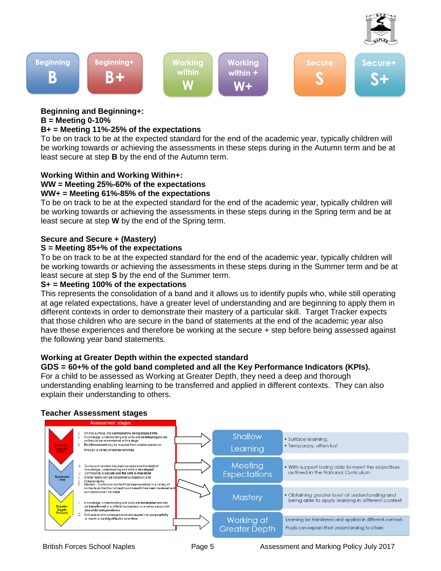



## **Beginning and Beginning+:**

### **B = Meeting 0-10%**

### **B+ = Meeting 11%-25% of the expectations**

To be on track to be at the expected standard for the end of the academic year, typically children will be working towards or achieving the assessments in these steps during in the Autumn term and be at least secure at step **B** by the end of the Autumn term.

### **Working Within and Working Within+:**

### **WW = Meeting 25%-60% of the expectations**

### **WW+ = Meeting 61%-85% of the expectations**

To be on track to be at the expected standard for the end of the academic year, typically children will be working towards or achieving the assessments in these steps during in the Spring term and be at least secure at step **W** by the end of the Spring term.

### **Secure and Secure + (Mastery)**

### **S = Meeting 85+% of the expectations**

To be on track to be at the expected standard for the end of the academic year, typically children will be working towards or achieving the assessments in these steps during in the Summer term and be at least secure at step **S** by the end of the Summer term.

### **S+ = Meeting 100% of the expectations**

This represents the consolidation of a band and it allows us to identify pupils who, while still operating at age related expectations, have a greater level of understanding and are beginning to apply them in different contexts in order to demonstrate their mastery of a particular skill. Target Tracker expects that those children who are secure in the band of statements at the end of the academic year also have these experiences and therefore be working at the secure + step before being assessed against the following year band statements.

### **Working at Greater Depth within the expected standard**

**GDS = 60+% of the gold band completed and all the Key Performance Indicators (KPIs).** For a child to be assessed as Working at Greater Depth, they need a deep and thorough understanding enabling learning to be transferred and applied in different contexts. They can also explain their understanding to others.

### **Teacher Assessment stages**

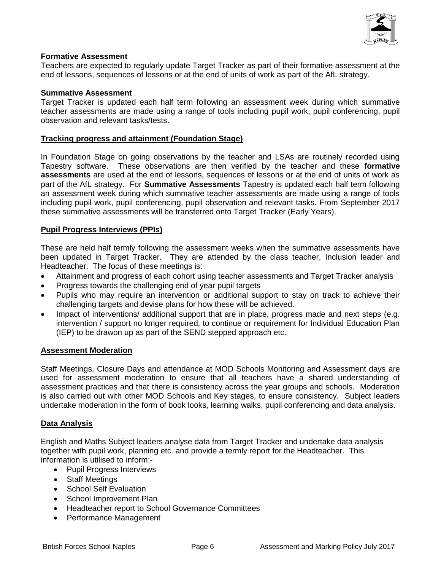

### **Formative Assessment**

Teachers are expected to regularly update Target Tracker as part of their formative assessment at the end of lessons, sequences of lessons or at the end of units of work as part of the AfL strategy.

### **Summative Assessment**

Target Tracker is updated each half term following an assessment week during which summative teacher assessments are made using a range of tools including pupil work, pupil conferencing, pupil observation and relevant tasks/tests.

### **Tracking progress and attainment (Foundation Stage)**

In Foundation Stage on going observations by the teacher and LSAs are routinely recorded using Tapestry software. These observations are then verified by the teacher and these **formative assessments** are used at the end of lessons, sequences of lessons or at the end of units of work as part of the AfL strategy. For **Summative Assessments** Tapestry is updated each half term following an assessment week during which summative teacher assessments are made using a range of tools including pupil work, pupil conferencing, pupil observation and relevant tasks. From September 2017 these summative assessments will be transferred onto Target Tracker (Early Years).

### **Pupil Progress Interviews (PPIs)**

These are held half termly following the assessment weeks when the summative assessments have been updated in Target Tracker. They are attended by the class teacher, Inclusion leader and Headteacher. The focus of these meetings is:

- Attainment and progress of each cohort using teacher assessments and Target Tracker analysis
- Progress towards the challenging end of year pupil targets
- Pupils who may require an intervention or additional support to stay on track to achieve their challenging targets and devise plans for how these will be achieved.
- Impact of interventions/ additional support that are in place, progress made and next steps (e.g. intervention / support no longer required, to continue or requirement for Individual Education Plan (IEP) to be drawon up as part of the SEND stepped approach etc.

### **Assessment Moderation**

Staff Meetings, Closure Days and attendance at MOD Schools Monitoring and Assessment days are used for assessment moderation to ensure that all teachers have a shared understanding of assessment practices and that there is consistency across the year groups and schools. Moderation is also carried out with other MOD Schools and Key stages, to ensure consistency. Subject leaders undertake moderation in the form of book looks, learning walks, pupil conferencing and data analysis.

### **Data Analysis**

English and Maths Subject leaders analyse data from Target Tracker and undertake data analysis together with pupil work, planning etc. and provide a termly report for the Headteacher. This information is utilised to inform:-

- Pupil Progress Interviews
- Staff Meetings
- School Self Evaluation
- School Improvement Plan
- Headteacher report to School Governance Committees
- Performance Management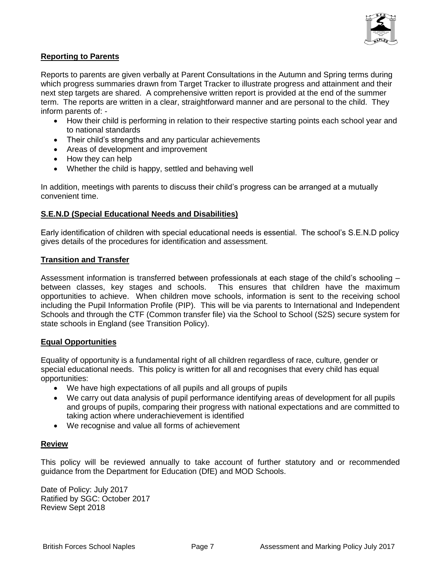

### **Reporting to Parents**

Reports to parents are given verbally at Parent Consultations in the Autumn and Spring terms during which progress summaries drawn from Target Tracker to illustrate progress and attainment and their next step targets are shared. A comprehensive written report is provided at the end of the summer term. The reports are written in a clear, straightforward manner and are personal to the child. They inform parents of: -

- How their child is performing in relation to their respective starting points each school year and to national standards
- Their child's strengths and any particular achievements
- Areas of development and improvement
- How they can help
- Whether the child is happy, settled and behaving well

In addition, meetings with parents to discuss their child's progress can be arranged at a mutually convenient time.

### **S.E.N.D (Special Educational Needs and Disabilities)**

Early identification of children with special educational needs is essential. The school's S.E.N.D policy gives details of the procedures for identification and assessment.

### **Transition and Transfer**

Assessment information is transferred between professionals at each stage of the child's schooling – between classes, key stages and schools. This ensures that children have the maximum opportunities to achieve. When children move schools, information is sent to the receiving school including the Pupil Information Profile (PIP). This will be via parents to International and Independent Schools and through the CTF (Common transfer file) via the School to School (S2S) secure system for state schools in England (see Transition Policy).

### **Equal Opportunities**

Equality of opportunity is a fundamental right of all children regardless of race, culture, gender or special educational needs. This policy is written for all and recognises that every child has equal opportunities:

- We have high expectations of all pupils and all groups of pupils
- We carry out data analysis of pupil performance identifying areas of development for all pupils and groups of pupils, comparing their progress with national expectations and are committed to taking action where underachievement is identified
- We recognise and value all forms of achievement

### **Review**

This policy will be reviewed annually to take account of further statutory and or recommended guidance from the Department for Education (DfE) and MOD Schools.

Date of Policy: July 2017 Ratified by SGC: October 2017 Review Sept 2018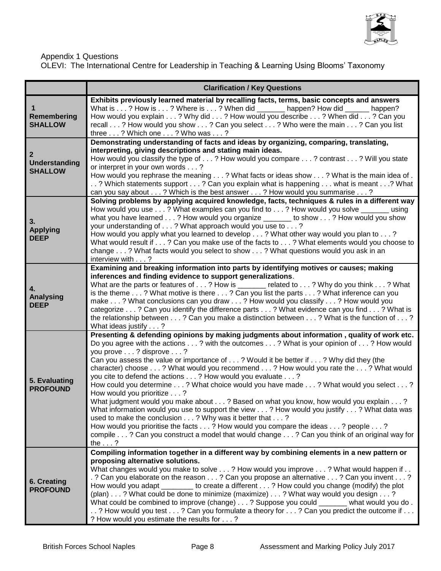

### Appendix 1 Questions

OLEVI: The International Centre for Leadership in Teaching & Learning Using Blooms' Taxonomy

|                                                 | <b>Clarification / Key Questions</b>                                                                                                                                                                                                                                                                                                                                                                                                                                                                                                                                                                                                                                                                                                                                                                                                                                                                                                                                                                        |  |
|-------------------------------------------------|-------------------------------------------------------------------------------------------------------------------------------------------------------------------------------------------------------------------------------------------------------------------------------------------------------------------------------------------------------------------------------------------------------------------------------------------------------------------------------------------------------------------------------------------------------------------------------------------------------------------------------------------------------------------------------------------------------------------------------------------------------------------------------------------------------------------------------------------------------------------------------------------------------------------------------------------------------------------------------------------------------------|--|
| Remembering<br><b>SHALLOW</b>                   | Exhibits previously learned material by recalling facts, terms, basic concepts and answers<br>What is ? How is ? Where is ? When did _______ happen? How did ______<br>happen?<br>How would you explain ? Why did ? How would you describe ? When did ? Can you<br>recall ? How would you show ? Can you select ? Who were the main ? Can you list<br>three ? Which one ? Who was ?                                                                                                                                                                                                                                                                                                                                                                                                                                                                                                                                                                                                                         |  |
| $\mathbf{2}$<br>Understanding<br><b>SHALLOW</b> | Demonstrating understanding of facts and ideas by organizing, comparing, translating,<br>interpreting, giving descriptions and stating main ideas.<br>How would you classify the type of ? How would you compare ? contrast ? Will you state<br>or interpret in your own words ?<br>How would you rephrase the meaning ? What facts or ideas show ? What is the main idea of .<br>? Which statements support ? Can you explain what is happening  what is meant ? What<br>can you say about ? Which is the best answer ? How would you summarise ?                                                                                                                                                                                                                                                                                                                                                                                                                                                          |  |
| 3.<br><b>Applying</b><br><b>DEEP</b>            | Solving problems by applying acquired knowledge, facts, techniques & rules in a different way<br>How would you use ? What examples can you find to ? How would you solve _______ using<br>what you have learned? How would you organize _______ to show? How would you show<br>your understanding of ? What approach would you use to ?<br>How would you apply what you learned to develop ? What other way would you plan to ?<br>What would result if ? Can you make use of the facts to ? What elements would you choose to<br>change ? What facts would you select to show ? What questions would you ask in an<br>interview with?                                                                                                                                                                                                                                                                                                                                                                      |  |
| 4.<br><b>Analysing</b><br><b>DEEP</b>           | Examining and breaking information into parts by identifying motives or causes; making<br>inferences and finding evidence to support generalizations.<br>What are the parts or features of ? How is ______ related to ? Why do you think ? What<br>is the theme ? What motive is there ? Can you list the parts ? What inference can you<br>make ? What conclusions can you draw ? How would you classify ? How would you<br>categorize ? Can you identify the difference parts ? What evidence can you find ? What is<br>the relationship between ? Can you make a distinction between ? What is the function of ?<br>What ideas justify ?                                                                                                                                                                                                                                                                                                                                                                 |  |
| 5. Evaluating<br><b>PROFOUND</b>                | Presenting & defending opinions by making judgments about information, quality of work etc.<br>Do you agree with the actions? with the outcomes? What is your opinion of? How would<br>you prove ? disprove ?<br>Can you assess the value or importance of ? Would it be better if ? Why did they (the<br>character) choose? What would you recommend? How would you rate the? What would<br>you cite to defend the actions ? How would you evaluate ?<br>How could you determine? What choice would you have made? What would you select?<br>How would you prioritize ?<br>What judgment would you make about ? Based on what you know, how would you explain ?<br>What information would you use to support the view ? How would you justify ? What data was<br>used to make the conclusion ? Why was it better that ?<br>How would you prioritise the facts ? How would you compare the ideas ? people ?<br>compile ? Can you construct a model that would change ? Can you think of an original way for |  |
| 6. Creating<br><b>PROFOUND</b>                  | the $\ldots$ ?<br>Compiling information together in a different way by combining elements in a new pattern or<br>proposing alternative solutions.<br>What changes would you make to solve ? How would you improve ? What would happen if<br>. ? Can you elaborate on the reason ? Can you propose an alternative ? Can you invent ?<br>How would you adapt _________ to create a different ? How could you change (modify) the plot<br>(plan) ? What could be done to minimize (maximize) ? What way would you design ?<br>What could be combined to improve (change) ? Suppose you could ______<br>what would you do.<br>? How would you test ? Can you formulate a theory for ? Can you predict the outcome if<br>? How would you estimate the results for ?                                                                                                                                                                                                                                              |  |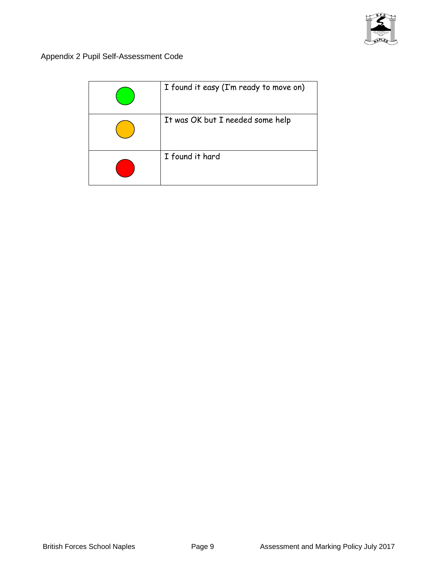

Appendix 2 Pupil Self-Assessment Code

| I found it easy (I'm ready to move on) |
|----------------------------------------|
| It was OK but I needed some help       |
| I found it hard                        |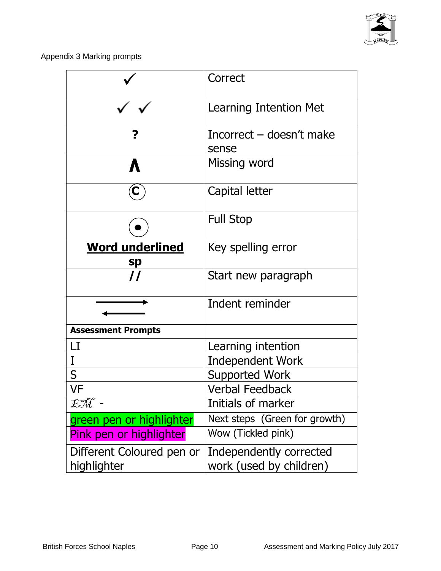

Appendix 3 Marking prompts

|                              | Correct                           |
|------------------------------|-----------------------------------|
|                              | Learning Intention Met            |
| ?                            | Incorrect – doesn't make<br>sense |
|                              | Missing word                      |
| C.                           | Capital letter                    |
|                              | <b>Full Stop</b>                  |
| <b>Word underlined</b><br>sp | Key spelling error                |
| $\prime\prime$               | Start new paragraph               |
|                              | Indent reminder                   |
| <b>Assessment Prompts</b>    |                                   |
| LI                           | Learning intention                |
| I                            | <b>Independent Work</b>           |
| S                            | Supported Work                    |
| VF                           | <b>Verbal Feedback</b>            |
| $\mathfrak{X}\mathfrak{A}$ - | Initials of marker                |
| green pen or highlighter     | Next steps (Green for growth)     |
| Pink pen or highlighter      | Wow (Tickled pink)                |
| Different Coloured pen or    | Independently corrected           |
| highlighter                  | work (used by children)           |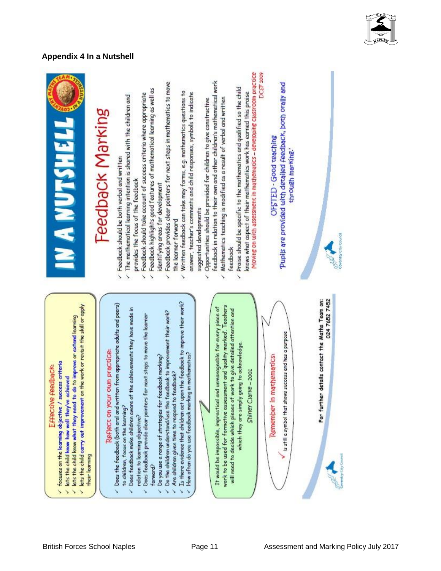

# **Appendix 4 In a Nutshell**



# Feedback Marking

- Feedback should be both verbal and written  $\overline{\phantom{0}}$
- The mathematical learning intention is shared with the children and provides the focus of the feedback  $\overline{\phantom{0}}$ 
	- Feedback should take account of success criteria where appropriate
- Feedback highlights good features of mathematical learning as well as š
- Feedback provides clear pointers for next steps in mathematics to move identifying areas for development
- the learner forward
	- Written feedback can take may forms, e.g. mathematics questions to answer, teacher's comments and child responses, symbols to indicate suggested developments
- feedback in relation to their own and other children's mathematical work Opportunities should be provided for children to give constructive
	- Mathematics teaching is modified as a result of verbal and written feedback
- Moving on with assessment in mathematics developing classroom practice Praise should be specific to the mathematics and qualified so the child knows what aspect of their mathematics work has earned this praise

# DCSF 2009

Pupils are provided with detailed Feedback, both orally and OFSTED - Good teaching through marking."



024 7652 7452 For further details contact the Maths Team on: Is there evidence that children act upon the feedback to improve their work?<br>How often do you use feedback marking in mathematics? Does the feedback (both and and written from appropriate adults and peers) work to be used for formative assessment and 'quality marked'. Teachers It would be impossible, impractical and unmanageable for every piece of Does feedbook make children aware of the achievements they have made in will need to decide which pieces of work to give detailed attention and Do the children understand/use the feedback to improvement their work? Does feedback provide clear pointers for next steps to move the learner is still a symbol that shows success and has a purpose which they are simply going to acknowledge Reflect on your own practice: Remember in mathematics: Do you use a range of strategies for feedback marking? Shirley Clarke - 2001 Are children given time to respond to feedback? to children, focus on the learning? relation to learning objective? ↘ forward? Š Š S Š Š

their learning

lets the child carry out improvement on the work or revisit the skill or apply

lets the child know what they need to do to improve or extend learning

focuses on the learning objective / success criterio

lets the child loow how well they've achieved

Š.  $\overline{\phantom{a}}$ 

Š

Effective feedback: